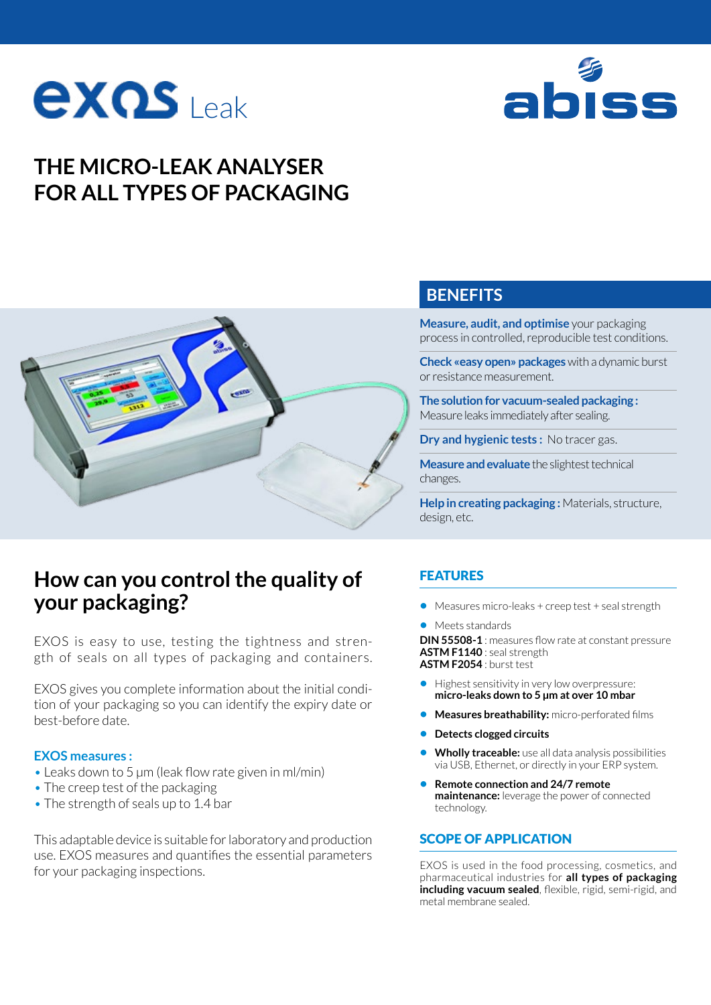



# **THE MICRO-LEAK ANALYSER FOR ALL TYPES OF PACKAGING**



# **How can you control the quality of your packaging?**

EXOS is easy to use, testing the tightness and strength of seals on all types of packaging and containers.

EXOS gives you complete information about the initial condition of your packaging so you can identify the expiry date or best-before date.

#### **EXOS measures :**

- Leaks down to 5 µm (leak flow rate given in ml/min)
- The creep test of the packaging
- The strength of seals up to 1.4 bar

This adaptable device is suitable for laboratory and production use. EXOS measures and quantifies the essential parameters for your packaging inspections.

## **BENEFITS**

**Measure, audit, and optimise** your packaging process in controlled, reproducible test conditions.

**Check «easy open» packages** with a dynamic burst or resistance measurement.

**The solution for vacuum-sealed packaging :**  Measure leaks immediately after sealing.

**Dry and hygienic tests :** No tracer gas.

**Measure and evaluate** the slightest technical changes.

**Help in creating packaging :** Materials, structure, design, etc.

### FEATURES

- **•** Measures micro-leaks + creep test + seal strength
- **•** Meets standards

**DIN 55508-1** : measures flow rate at constant pressure **ASTM F1140** : seal strength **ASTM F2054** : burst test

- **•** Highest sensitivity in very low overpressure: **micro-leaks down to 5 μm at over 10 mbar**
- **• Measures breathability:** micro-perforated films
- **• Detects clogged circuits**
- **• Wholly traceable:** use all data analysis possibilities via USB, Ethernet, or directly in your ERP system.
- **• Remote connection and 24/7 remote maintenance:** leverage the power of connected technology.

#### SCOPE OF APPLICATION

EXOS is used in the food processing, cosmetics, and pharmaceutical industries for **all types of packaging including vacuum sealed**, flexible, rigid, semi-rigid, and metal membrane sealed.